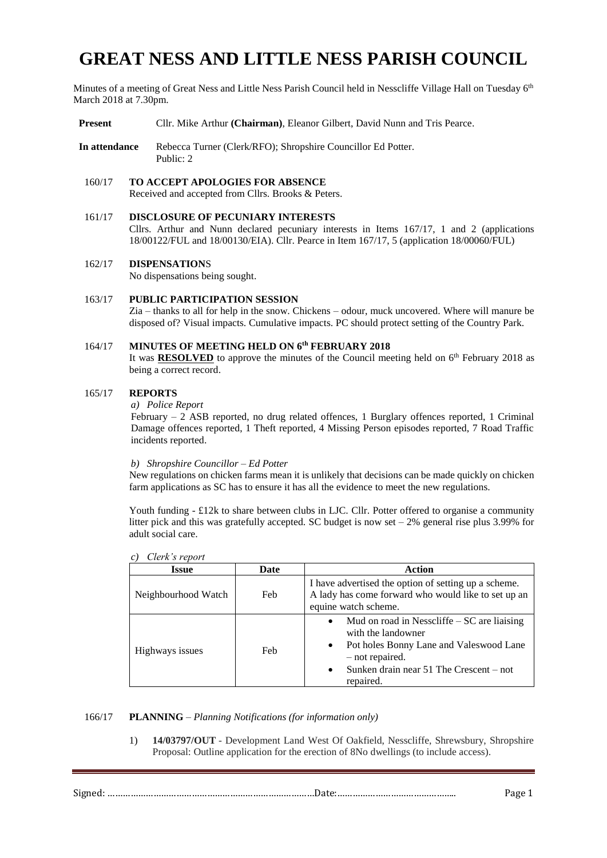# **GREAT NESS AND LITTLE NESS PARISH COUNCIL**

Minutes of a meeting of Great Ness and Little Ness Parish Council held in Nesscliffe Village Hall on Tuesday  $6<sup>th</sup>$ March 2018 at 7.30pm.

**Present** Cllr. Mike Arthur **(Chairman)**, Eleanor Gilbert, David Nunn and Tris Pearce.

**In attendance** Rebecca Turner (Clerk/RFO); Shropshire Councillor Ed Potter. Public: 2

160/17 **TO ACCEPT APOLOGIES FOR ABSENCE** Received and accepted from Cllrs. Brooks & Peters.

#### 161/17 **DISCLOSURE OF PECUNIARY INTERESTS** Cllrs. Arthur and Nunn declared pecuniary interests in Items 167/17, 1 and 2 (applications 18/00122/FUL and 18/00130/EIA). Cllr. Pearce in Item 167/17, 5 (application 18/00060/FUL)

162/17 **DISPENSATION**S

No dispensations being sought.

163/17 **PUBLIC PARTICIPATION SESSION** Zia – thanks to all for help in the snow. Chickens – odour, muck uncovered. Where will manure be disposed of? Visual impacts. Cumulative impacts. PC should protect setting of the Country Park.

#### 164/17 **MINUTES OF MEETING HELD ON 6 th FEBRUARY 2018** It was **RESOLVED** to approve the minutes of the Council meeting held on  $6<sup>th</sup>$  February 2018 as being a correct record.

#### 165/17 **REPORTS**

*a) Police Report* 

February *–* 2 ASB reported, no drug related offences, 1 Burglary offences reported, 1 Criminal Damage offences reported, 1 Theft reported, 4 Missing Person episodes reported, 7 Road Traffic incidents reported.

#### *b) Shropshire Councillor – Ed Potter*

New regulations on chicken farms mean it is unlikely that decisions can be made quickly on chicken farm applications as SC has to ensure it has all the evidence to meet the new regulations.

Youth funding - £12k to share between clubs in LJC. Cllr. Potter offered to organise a community litter pick and this was gratefully accepted. SC budget is now set  $-2\%$  general rise plus 3.99% for adult social care.

| C)<br>Clerk s report |      |                                                                                                                                                                                                                      |  |  |  |
|----------------------|------|----------------------------------------------------------------------------------------------------------------------------------------------------------------------------------------------------------------------|--|--|--|
| <b>Issue</b>         | Date | <b>Action</b>                                                                                                                                                                                                        |  |  |  |
| Neighbourhood Watch  | Feb  | I have advertised the option of setting up a scheme.<br>A lady has come forward who would like to set up an<br>equine watch scheme.                                                                                  |  |  |  |
| Highways issues      | Feb  | Mud on road in Nesscliffe $-SC$ are liaising<br>$\bullet$<br>with the landowner<br>Pot holes Bonny Lane and Valeswood Lane<br>- not repaired.<br>Sunken drain near $51$ The Crescent – not<br>$\bullet$<br>repaired. |  |  |  |

 $\overline{C}$  $\overline{C}$ 

#### 166/17 **PLANNING** – *Planning Notifications (for information only)*

1) **14/03797/OUT** - Development Land West Of Oakfield, Nesscliffe, Shrewsbury, Shropshire Proposal: Outline application for the erection of 8No dwellings (to include access).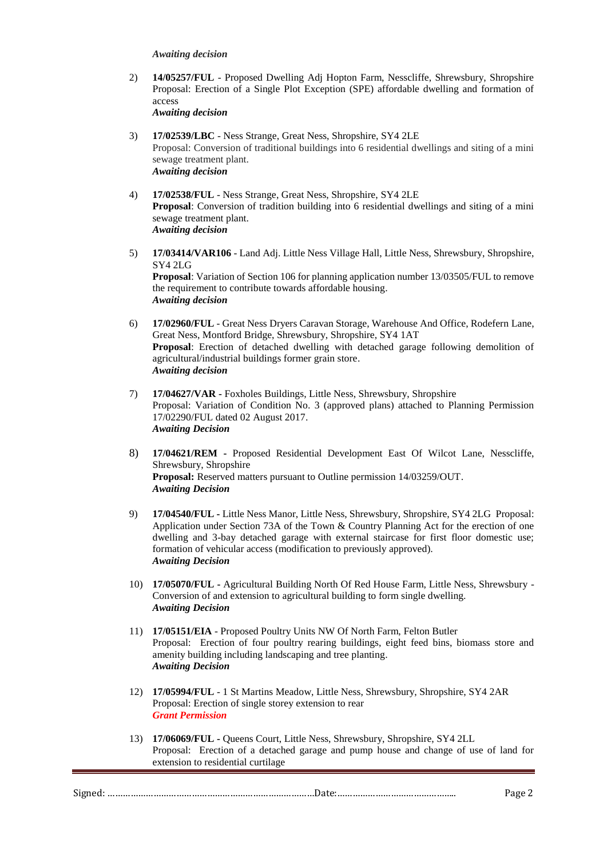#### *Awaiting decision*

2) **14/05257/FUL** - Proposed Dwelling Adj Hopton Farm, Nesscliffe, Shrewsbury, Shropshire Proposal: Erection of a Single Plot Exception (SPE) affordable dwelling and formation of access

*Awaiting decision*

- 3) **17/02539/LBC** Ness Strange, Great Ness, Shropshire, SY4 2LE Proposal: Conversion of traditional buildings into 6 residential dwellings and siting of a mini sewage treatment plant. *Awaiting decision*
- 4) **17/02538/FUL** Ness Strange, Great Ness, Shropshire, SY4 2LE **Proposal**: Conversion of tradition building into 6 residential dwellings and siting of a mini sewage treatment plant. *Awaiting decision*
- 5) **17/03414/VAR106** Land Adj. Little Ness Village Hall, Little Ness, Shrewsbury, Shropshire, SY4 2LG **Proposal**: Variation of Section 106 for planning application number 13/03505/FUL to remove the requirement to contribute towards affordable housing. *Awaiting decision*
- 6) **17/02960/FUL** Great Ness Dryers Caravan Storage, Warehouse And Office, Rodefern Lane, Great Ness, Montford Bridge, Shrewsbury, Shropshire, SY4 1AT **Proposal**: Erection of detached dwelling with detached garage following demolition of agricultural/industrial buildings former grain store. *Awaiting decision*
- 7) **17/04627/VAR -** Foxholes Buildings, Little Ness, Shrewsbury, Shropshire Proposal: Variation of Condition No. 3 (approved plans) attached to Planning Permission 17/02290/FUL dated 02 August 2017. *Awaiting Decision*
- 8) **17/04621/REM -** Proposed Residential Development East Of Wilcot Lane, Nesscliffe, Shrewsbury, Shropshire **Proposal:** Reserved matters pursuant to Outline permission 14/03259/OUT. *Awaiting Decision*
- 9) **17/04540/FUL -** Little Ness Manor, Little Ness, Shrewsbury, Shropshire, SY4 2LG Proposal: Application under Section 73A of the Town & Country Planning Act for the erection of one dwelling and 3-bay detached garage with external staircase for first floor domestic use; formation of vehicular access (modification to previously approved). *Awaiting Decision*
- 10) **17/05070/FUL -** Agricultural Building North Of Red House Farm, Little Ness, Shrewsbury Conversion of and extension to agricultural building to form single dwelling. *Awaiting Decision*
- 11) **17/05151/EIA** Proposed Poultry Units NW Of North Farm, Felton Butler Proposal: Erection of four poultry rearing buildings, eight feed bins, biomass store and amenity building including landscaping and tree planting. *Awaiting Decision*
- 12) **17/05994/FUL**  1 St Martins Meadow, Little Ness, Shrewsbury, Shropshire, SY4 2AR Proposal: Erection of single storey extension to rear *Grant Permission*
- 13) **17/06069/FUL -** Queens Court, Little Ness, Shrewsbury, Shropshire, SY4 2LL Proposal: Erection of a detached garage and pump house and change of use of land for extension to residential curtilage

| . . |  |
|-----|--|
|-----|--|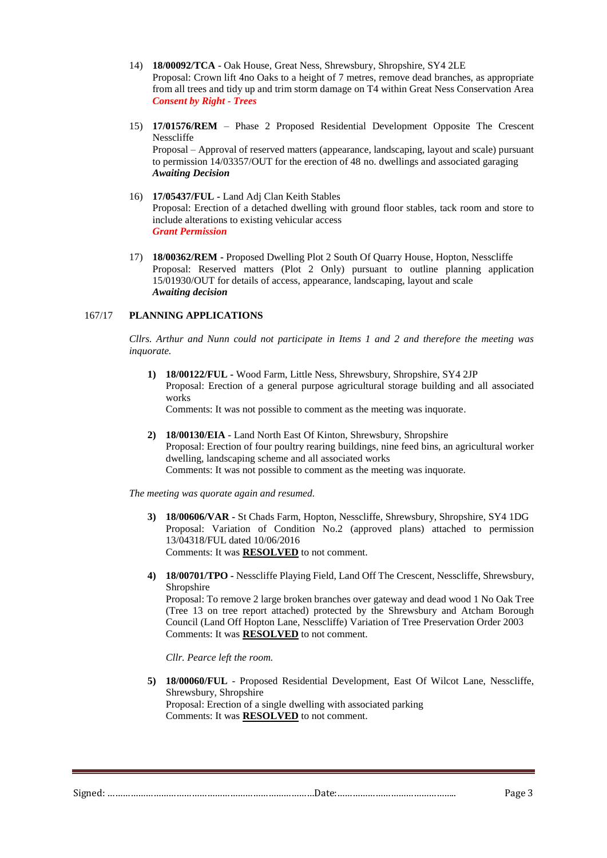- 14) **18/00092/TCA**  Oak House, Great Ness, Shrewsbury, Shropshire, SY4 2LE Proposal: Crown lift 4no Oaks to a height of 7 metres, remove dead branches, as appropriate from all trees and tidy up and trim storm damage on T4 within Great Ness Conservation Area *Consent by Right - Trees*
- 15) **17/01576/REM**  Phase 2 Proposed Residential Development Opposite The Crescent Nesscliffe

Proposal – Approval of reserved matters (appearance, landscaping, layout and scale) pursuant to permission 14/03357/OUT for the erection of 48 no. dwellings and associated garaging *Awaiting Decision*

- 16) **17/05437/FUL -** Land Adj Clan Keith Stables Proposal: Erection of a detached dwelling with ground floor stables, tack room and store to include alterations to existing vehicular access *Grant Permission*
- 17) **18/00362/REM -** Proposed Dwelling Plot 2 South Of Quarry House, Hopton, Nesscliffe Proposal: Reserved matters (Plot 2 Only) pursuant to outline planning application 15/01930/OUT for details of access, appearance, landscaping, layout and scale *Awaiting decision*

# 167/17 **PLANNING APPLICATIONS**

*Cllrs. Arthur and Nunn could not participate in Items 1 and 2 and therefore the meeting was inquorate.*

**1) 18/00122/FUL -** Wood Farm, Little Ness, Shrewsbury, Shropshire, SY4 2JP Proposal: Erection of a general purpose agricultural storage building and all associated works

Comments: It was not possible to comment as the meeting was inquorate.

**2) 18/00130/EIA** - Land North East Of Kinton, Shrewsbury, Shropshire Proposal: Erection of four poultry rearing buildings, nine feed bins, an agricultural worker dwelling, landscaping scheme and all associated works Comments: It was not possible to comment as the meeting was inquorate.

*The meeting was quorate again and resumed.*

- **3) 18/00606/VAR -** St Chads Farm, Hopton, Nesscliffe, Shrewsbury, Shropshire, SY4 1DG Proposal: Variation of Condition No.2 (approved plans) attached to permission 13/04318/FUL dated 10/06/2016 Comments: It was **RESOLVED** to not comment.
- **4) 18/00701/TPO -** Nesscliffe Playing Field, Land Off The Crescent, Nesscliffe, Shrewsbury, Shropshire Proposal: To remove 2 large broken branches over gateway and dead wood 1 No Oak Tree (Tree 13 on tree report attached) protected by the Shrewsbury and Atcham Borough Council (Land Off Hopton Lane, Nesscliffe) Variation of Tree Preservation Order 2003

*Cllr. Pearce left the room.*

**5) 18/00060/FUL** - Proposed Residential Development, East Of Wilcot Lane, Nesscliffe, Shrewsbury, Shropshire Proposal: Erection of a single dwelling with associated parking Comments: It was **RESOLVED** to not comment.

Signed: ………………………………………………………………………Date:……………………………………….. Page 3

Comments: It was **RESOLVED** to not comment.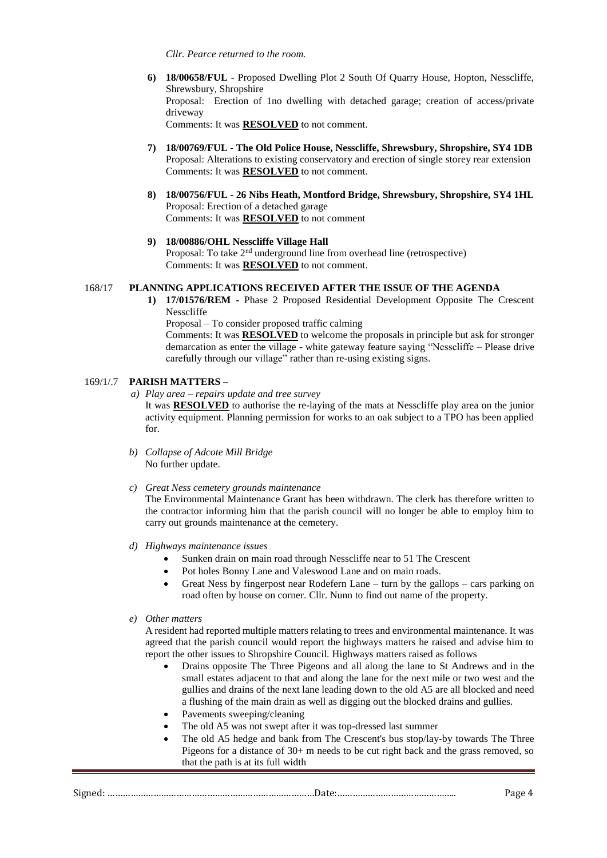*Cllr. Pearce returned to the room.*

- **6) 18/00658/FUL -** Proposed Dwelling Plot 2 South Of Quarry House, Hopton, Nesscliffe, Shrewsbury, Shropshire Proposal: Erection of 1no dwelling with detached garage; creation of access/private driveway Comments: It was **RESOLVED** to not comment.
- **7) 18/00769/FUL - The Old Police House, Nesscliffe, Shrewsbury, Shropshire, SY4 1DB** Proposal: Alterations to existing conservatory and erection of single storey rear extension Comments: It was **RESOLVED** to not comment.
- **8) 18/00756/FUL - 26 Nibs Heath, Montford Bridge, Shrewsbury, Shropshire, SY4 1HL** Proposal: Erection of a detached garage Comments: It was **RESOLVED** to not comment

# **9) 18/00886/OHL Nesscliffe Village Hall**

Proposal: To take 2<sup>nd</sup> underground line from overhead line (retrospective) Comments: It was **RESOLVED** to not comment.

#### 168/17 **PLANNING APPLICATIONS RECEIVED AFTER THE ISSUE OF THE AGENDA**

**1) 17/01576/REM -** Phase 2 Proposed Residential Development Opposite The Crescent Nesscliffe

Proposal – To consider proposed traffic calming

Comments: It was **RESOLVED** to welcome the proposals in principle but ask for stronger demarcation as enter the village - white gateway feature saying "Nesscliffe – Please drive carefully through our village" rather than re-using existing signs.

#### 169/1/.7 **PARISH MATTERS –**

*a) Play area – repairs update and tree survey*

It was **RESOLVED** to authorise the re-laying of the mats at Nesscliffe play area on the junior activity equipment. Planning permission for works to an oak subject to a TPO has been applied for.

- *b) Collapse of Adcote Mill Bridge* No further update.
- *c) Great Ness cemetery grounds maintenance*

The Environmental Maintenance Grant has been withdrawn. The clerk has therefore written to the contractor informing him that the parish council will no longer be able to employ him to carry out grounds maintenance at the cemetery.

- *d) Highways maintenance issues*
	- Sunken drain on main road through Nesscliffe near to 51 The Crescent
	- Pot holes Bonny Lane and Valeswood Lane and on main roads.
	- Great Ness by fingerpost near Rodefern Lane turn by the gallops cars parking on road often by house on corner. Cllr. Nunn to find out name of the property.

#### *e) Other matters*

A resident had reported multiple matters relating to trees and environmental maintenance. It was agreed that the parish council would report the highways matters he raised and advise him to report the other issues to Shropshire Council. Highways matters raised as follows

- Drains opposite The Three Pigeons and all along the lane to St Andrews and in the small estates adjacent to that and along the lane for the next mile or two west and the gullies and drains of the next lane leading down to the old A5 are all blocked and need a flushing of the main drain as well as digging out the blocked drains and gullies.
- Pavements sweeping/cleaning
- The old A5 was not swept after it was top-dressed last summer
- The old A5 hedge and bank from The Crescent's bus stop/lay-by towards The Three Pigeons for a distance of 30+ m needs to be cut right back and the grass removed, so that the path is at its full width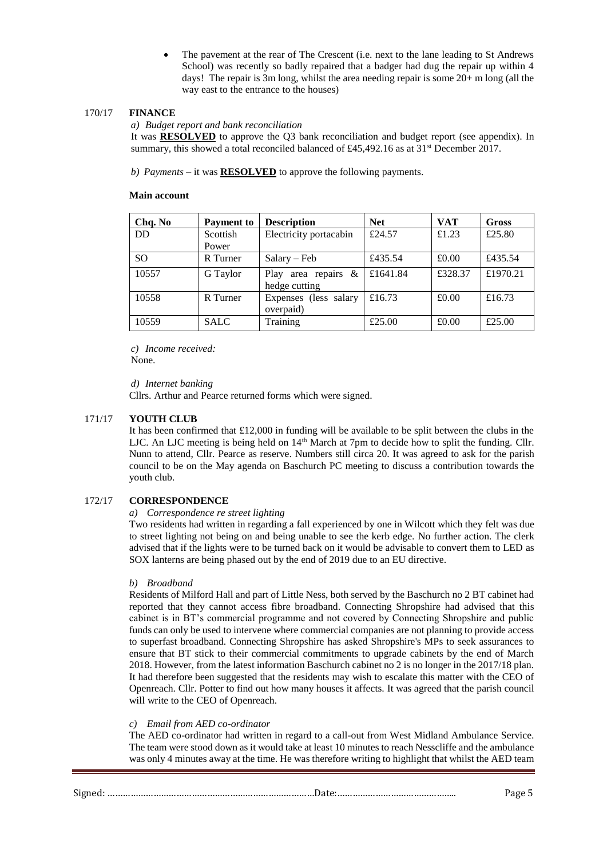The pavement at the rear of The Crescent (i.e. next to the lane leading to St Andrews School) was recently so badly repaired that a badger had dug the repair up within 4 days! The repair is 3m long, whilst the area needing repair is some 20+ m long (all the way east to the entrance to the houses)

# 170/17 **FINANCE**

*a) Budget report and bank reconciliation*

It was **RESOLVED** to approve the Q3 bank reconciliation and budget report (see appendix). In summary, this showed a total reconciled balanced of £45,492.16 as at 31<sup>st</sup> December 2017.

*b) Payments –* it was **RESOLVED** to approve the following payments.

# **Main account**

| Chq. No       | <b>Payment</b> to | <b>Description</b>     | <b>Net</b> | <b>VAT</b> | <b>Gross</b> |
|---------------|-------------------|------------------------|------------|------------|--------------|
| <b>DD</b>     | Scottish          | Electricity portacabin | £24.57     | £1.23      | £25.80       |
|               | Power             |                        |            |            |              |
| <sub>SO</sub> | R Turner          | $Salary - Feb$         | £435.54    | £0.00      | £435.54      |
| 10557         | G Taylor          | Play area repairs $\&$ | £1641.84   | £328.37    | £1970.21     |
|               |                   | hedge cutting          |            |            |              |
| 10558         | R Turner          | Expenses (less salary  | £16.73     | £0.00      | £16.73       |
|               |                   | overpaid)              |            |            |              |
| 10559         | <b>SALC</b>       | Training               | £25.00     | £0.00      | £25.00       |

*c) Income received:*

None.

*d) Internet banking* 

Cllrs. Arthur and Pearce returned forms which were signed.

# 171/17 **YOUTH CLUB**

It has been confirmed that  $£12,000$  in funding will be available to be split between the clubs in the LJC. An LJC meeting is being held on 14<sup>th</sup> March at 7pm to decide how to split the funding. Cllr. Nunn to attend, Cllr. Pearce as reserve. Numbers still circa 20. It was agreed to ask for the parish council to be on the May agenda on Baschurch PC meeting to discuss a contribution towards the youth club.

# 172/17 **CORRESPONDENCE**

#### *a) Correspondence re street lighting*

Two residents had written in regarding a fall experienced by one in Wilcott which they felt was due to street lighting not being on and being unable to see the kerb edge. No further action. The clerk advised that if the lights were to be turned back on it would be advisable to convert them to LED as SOX lanterns are being phased out by the end of 2019 due to an EU directive.

#### *b) Broadband*

Residents of Milford Hall and part of Little Ness, both served by the Baschurch no 2 BT cabinet had reported that they cannot access fibre broadband. Connecting Shropshire had advised that this cabinet is in BT's commercial programme and not covered by Connecting Shropshire and public funds can only be used to intervene where commercial companies are not planning to provide access to superfast broadband. Connecting Shropshire has asked Shropshire's MPs to seek assurances to ensure that BT stick to their commercial commitments to upgrade cabinets by the end of March 2018. However, from the latest information Baschurch cabinet no 2 is no longer in the 2017/18 plan. It had therefore been suggested that the residents may wish to escalate this matter with the CEO of Openreach. Cllr. Potter to find out how many houses it affects. It was agreed that the parish council will write to the CEO of Openreach.

#### *c) Email from AED co-ordinator*

The AED co-ordinator had written in regard to a call-out from West Midland Ambulance Service. The team were stood down as it would take at least 10 minutes to reach Nesscliffe and the ambulance was only 4 minutes away at the time. He was therefore writing to highlight that whilst the AED team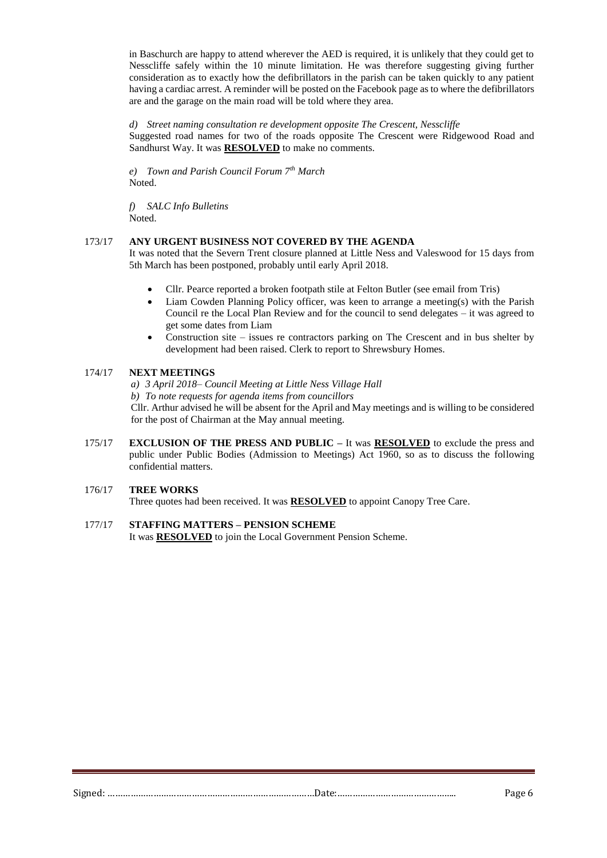in Baschurch are happy to attend wherever the AED is required, it is unlikely that they could get to Nesscliffe safely within the 10 minute limitation. He was therefore suggesting giving further consideration as to exactly how the defibrillators in the parish can be taken quickly to any patient having a cardiac arrest. A reminder will be posted on the Facebook page as to where the defibrillators are and the garage on the main road will be told where they area.

*d) Street naming consultation re development opposite The Crescent, Nesscliffe* Suggested road names for two of the roads opposite The Crescent were Ridgewood Road and Sandhurst Way. It was **RESOLVED** to make no comments.

*e) Town and Parish Council Forum 7th March* Noted.

*f) SALC Info Bulletins* Noted.

# 173/17 **ANY URGENT BUSINESS NOT COVERED BY THE AGENDA**

It was noted that the Severn Trent closure planned at Little Ness and Valeswood for 15 days from 5th March has been postponed, probably until early April 2018.

- Cllr. Pearce reported a broken footpath stile at Felton Butler (see email from Tris)
- Liam Cowden Planning Policy officer, was keen to arrange a meeting(s) with the Parish Council re the Local Plan Review and for the council to send delegates – it was agreed to get some dates from Liam
- Construction site issues re contractors parking on The Crescent and in bus shelter by development had been raised. Clerk to report to Shrewsbury Homes.

# 174/17 **NEXT MEETINGS**

*a) 3 April 2018– Council Meeting at Little Ness Village Hall*

*b) To note requests for agenda items from councillors*

Cllr. Arthur advised he will be absent for the April and May meetings and is willing to be considered for the post of Chairman at the May annual meeting.

175/17 **EXCLUSION OF THE PRESS AND PUBLIC –** It was **RESOLVED** to exclude the press and public under Public Bodies (Admission to Meetings) Act 1960, so as to discuss the following confidential matters.

# 176/17 **TREE WORKS**

Three quotes had been received. It was **RESOLVED** to appoint Canopy Tree Care.

# 177/17 **STAFFING MATTERS – PENSION SCHEME**

It was **RESOLVED** to join the Local Government Pension Scheme.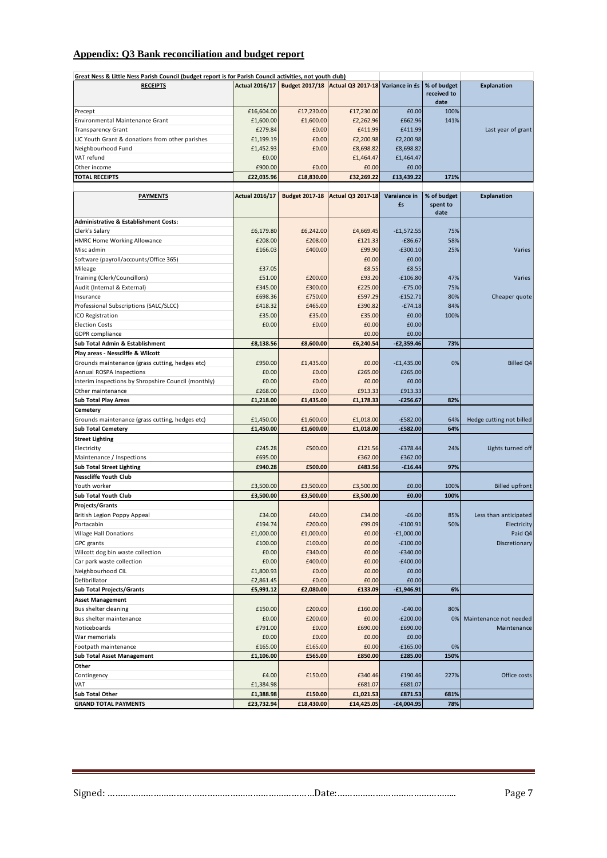# **Appendix: Q3 Bank reconciliation and budget report**

| Great Ness & Little Ness Parish Council (budget report is for Parish Council activities, not youth club) |                       |                       |                                                                              |                    |                         |                          |
|----------------------------------------------------------------------------------------------------------|-----------------------|-----------------------|------------------------------------------------------------------------------|--------------------|-------------------------|--------------------------|
| <b>RECEIPTS</b>                                                                                          |                       |                       | Actual 2016/17 Budget 2017/18 Actual Q3 2017-18 Variance in £s   % of budget |                    | received to<br>date     | <b>Explanation</b>       |
| Precept                                                                                                  | £16,604.00            | £17,230.00            | £17,230.00                                                                   | £0.00              | 100%                    |                          |
| Environmental Maintenance Grant                                                                          | £1,600.00             | £1,600.00             | £2,262.96                                                                    | £662.96            | 141%                    |                          |
| <b>Transparency Grant</b>                                                                                | £279.84               | £0.00                 | £411.99                                                                      | £411.99            |                         | Last year of grant       |
| LIC Youth Grant & donations from other parishes                                                          | £1,199.19             | £0.00                 | £2,200.98                                                                    | £2,200.98          |                         |                          |
| Neighbourhood Fund                                                                                       | £1,452.93             | £0.00                 | £8,698.82                                                                    | £8,698.82          |                         |                          |
| VAT refund                                                                                               | £0.00                 |                       | £1,464.47                                                                    | £1,464.47          |                         |                          |
| Other income                                                                                             | £900.00               | £0.00                 | £0.00                                                                        | £0.00              |                         |                          |
| <b>TOTAL RECEIPTS</b>                                                                                    | £22,035.96            | £18,830.00            | £32,269.22                                                                   | £13,439.22         | 171%                    |                          |
|                                                                                                          |                       |                       |                                                                              |                    |                         |                          |
| <b>PAYMENTS</b>                                                                                          | <b>Actual 2016/17</b> | <b>Budget 2017-18</b> | <b>Actual Q3 2017-18</b>                                                     | Varaiance in<br>£s | % of budget<br>spent to | <b>Explanation</b>       |
| <b>Administrative &amp; Establishment Costs:</b>                                                         |                       |                       |                                                                              |                    | date                    |                          |
| Clerk's Salary                                                                                           | £6,179.80             | £6,242.00             | £4,669.45                                                                    | $-£1,572.55$       | 75%                     |                          |
| HMRC Home Working Allowance                                                                              | £208.00               | £208.00               | £121.33                                                                      | $-£86.67$          | 58%                     |                          |
| Misc admin                                                                                               | £166.03               | £400.00               | £99.90                                                                       | $-£300.10$         | 25%                     | Varies                   |
|                                                                                                          |                       |                       | £0.00                                                                        | £0.00              |                         |                          |
| Software (payroll/accounts/Office 365)                                                                   |                       |                       |                                                                              |                    |                         |                          |
| Mileage                                                                                                  | £37.05                |                       | £8.55                                                                        | £8.55              |                         |                          |
| Training (Clerk/Councillors)                                                                             | £51.00                | £200.00               | £93.20                                                                       | $-£106.80$         | 47%                     | Varies                   |
| Audit (Internal & External)                                                                              | £345.00               | £300.00               | £225.00                                                                      | $-E75.00$          | 75%                     |                          |
| Insurance                                                                                                | £698.36               | £750.00               | £597.29                                                                      | $-£152.71$         | 80%                     | Cheaper quote            |
| Professional Subscriptions (SALC/SLCC)                                                                   | £418.32               | £465.00               | £390.82                                                                      | $-£74.18$          | 84%                     |                          |
| ICO Registration                                                                                         | £35.00                | £35.00                | £35.00                                                                       | £0.00              | 100%                    |                          |
| <b>Election Costs</b>                                                                                    | £0.00                 | £0.00                 | £0.00                                                                        | £0.00              |                         |                          |
| <b>GDPR</b> compliance                                                                                   |                       |                       | £0.00                                                                        | £0.00              |                         |                          |
| Sub Total Admin & Establishment                                                                          | £8,138.56             | £8,600.00             | £6,240.54                                                                    | $-E2,359.46$       | 73%                     |                          |
| Play areas - Nesscliffe & Wilcott                                                                        |                       |                       |                                                                              |                    |                         |                          |
| Grounds maintenance (grass cutting, hedges etc)                                                          | £950.00               | £1,435.00             | £0.00                                                                        | $-£1,435.00$       | 0%                      | <b>Billed Q4</b>         |
| Annual ROSPA Inspections                                                                                 | £0.00                 | £0.00                 | £265.00                                                                      | £265.00            |                         |                          |
| Interim inspections by Shropshire Council (monthly)                                                      | £0.00                 | £0.00                 | £0.00                                                                        | £0.00              |                         |                          |
| Other maintenance                                                                                        | £268.00               | £0.00                 | £913.33                                                                      | £913.33            |                         |                          |
| <b>Sub Total Play Areas</b>                                                                              | £1,218.00             | £1,435.00             | £1,178.33                                                                    | $-£256.67$         | 82%                     |                          |
| Cemetery                                                                                                 |                       |                       |                                                                              |                    |                         |                          |
| Grounds maintenance (grass cutting, hedges etc)                                                          | £1,450.00             | £1,600.00             | £1,018.00                                                                    | $-E582.00$         | 64%                     | Hedge cutting not billed |
| <b>Sub Total Cemetery</b>                                                                                | £1,450.00             | £1,600.00             | £1,018.00                                                                    | $-£582.00$         | 64%                     |                          |
|                                                                                                          |                       |                       |                                                                              |                    |                         |                          |
| <b>Street Lighting</b>                                                                                   | £245.28               | £500.00               |                                                                              | $-£378.44$         | 24%                     |                          |
| Electricity                                                                                              |                       |                       | £121.56                                                                      |                    |                         | Lights turned off        |
| Maintenance / Inspections                                                                                | £695.00               |                       | £362.00                                                                      | £362.00            |                         |                          |
| <b>Sub Total Street Lighting</b>                                                                         | £940.28               | £500.00               | £483.56                                                                      | $-£16.44$          | 97%                     |                          |
| <b>Nesscliffe Youth Club</b>                                                                             |                       |                       |                                                                              |                    |                         |                          |
| Youth worker                                                                                             | £3,500.00             | £3,500.00             | £3,500.00                                                                    | £0.00              | 100%                    | <b>Billed upfront</b>    |
| <b>Sub Total Youth Club</b>                                                                              | £3,500.00             | £3,500.00             | £3,500.00                                                                    | £0.00              | 100%                    |                          |
| Projects/Grants                                                                                          |                       |                       |                                                                              |                    |                         |                          |
| British Legion Poppy Appeal                                                                              | £34.00                | £40.00                | £34.00                                                                       | $-£6.00$           | 85%                     | Less than anticipated    |
| Portacabin                                                                                               | £194.74               | £200.00               | £99.09                                                                       | $-£100.91$         | 50%                     | Electricity              |
| Village Hall Donations                                                                                   | £1,000.00             | £1,000.00             | £0.00                                                                        | $-E1,000.00$       |                         | Paid Q4                  |
| GPC grants                                                                                               | £100.00               | £100.00               | £0.00                                                                        | $-£100.00$         |                         | Discretionary            |
| Wilcott dog bin waste collection                                                                         | £0.00                 | £340.00               | £0.00                                                                        | $-E340.00$         |                         |                          |
| Car park waste collection                                                                                | £0.00                 | £400.00               | £0.00                                                                        | $-£400.00$         |                         |                          |
| Neighbourhood CIL                                                                                        | £1,800.93             | £0.00                 | £0.00                                                                        | £0.00              |                         |                          |
| Defibrillator                                                                                            | £2,861.45             | £0.00                 | £0.00                                                                        | £0.00              |                         |                          |
| <b>Sub Total Projects/Grants</b>                                                                         | £5,991.12             | £2,080.00             | £133.09                                                                      | $-£1,946.91$       | 6%                      |                          |
| <b>Asset Management</b>                                                                                  |                       |                       |                                                                              |                    |                         |                          |
| Bus shelter cleaning                                                                                     | £150.00               | £200.00               | £160.00                                                                      | $-£40.00$          | 80%                     |                          |
| Bus shelter maintenance                                                                                  | £0.00                 | £200.00               | £0.00                                                                        | $-E200.00$         | 0%                      | Maintenance not needed   |
| Noticeboards                                                                                             | £791.00               | £0.00                 | £690.00                                                                      | £690.00            |                         | Maintenance              |
| War memorials                                                                                            | £0.00                 | £0.00                 | £0.00                                                                        | £0.00              |                         |                          |
| Footpath maintenance                                                                                     | £165.00               | £165.00               | £0.00                                                                        | $-£165.00$         | 0%                      |                          |
|                                                                                                          |                       | £565.00               | £850.00                                                                      | £285.00            |                         |                          |
| <b>Sub Total Asset Management</b>                                                                        | £1,106.00             |                       |                                                                              |                    | 150%                    |                          |
| Other                                                                                                    |                       |                       |                                                                              |                    |                         |                          |
| Contingency                                                                                              | £4.00                 | £150.00               | £340.46                                                                      | £190.46            | 227%                    | Office costs             |
| VAT                                                                                                      | £1,384.98             |                       | £681.07                                                                      | £681.07            |                         |                          |
| Sub Total Other                                                                                          | £1,388.98             | £150.00               | £1,021.53                                                                    | £871.53            | 681%                    |                          |
| <b>GRAND TOTAL PAYMENTS</b>                                                                              | £23,732.94            | £18,430.00            | £14,425.05                                                                   | $-£4,004.95$       | 78%                     |                          |

Signed: ………………………………………………………………………Date:……………………………………….. Page 7